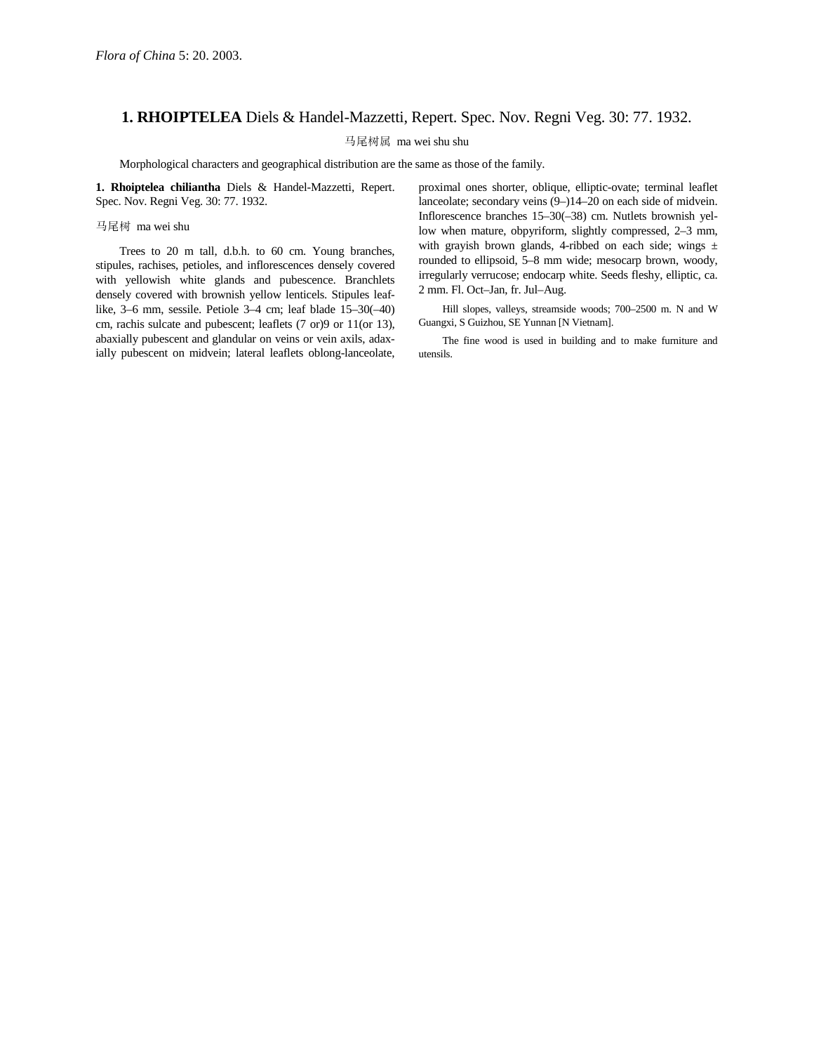## **1. RHOIPTELEA** Diels & Handel-Mazzetti, Repert. Spec. Nov. Regni Veg. 30: 77. 1932.

马尾树属 ma wei shu shu

Morphological characters and geographical distribution are the same as those of the family.

**1. Rhoiptelea chiliantha** Diels & Handel-Mazzetti, Repert. Spec. Nov. Regni Veg. 30: 77. 1932.

马尾树 ma wei shu

Trees to 20 m tall, d.b.h. to 60 cm. Young branches, stipules, rachises, petioles, and inflorescences densely covered with yellowish white glands and pubescence. Branchlets densely covered with brownish yellow lenticels. Stipules leaflike, 3–6 mm, sessile. Petiole 3–4 cm; leaf blade 15–30(–40) cm, rachis sulcate and pubescent; leaflets (7 or)9 or 11(or 13), abaxially pubescent and glandular on veins or vein axils, adaxially pubescent on midvein; lateral leaflets oblong-lanceolate,

proximal ones shorter, oblique, elliptic-ovate; terminal leaflet lanceolate; secondary veins (9–)14–20 on each side of midvein. Inflorescence branches 15–30(–38) cm. Nutlets brownish yellow when mature, obpyriform, slightly compressed, 2–3 mm, with grayish brown glands, 4-ribbed on each side; wings  $\pm$ rounded to ellipsoid, 5–8 mm wide; mesocarp brown, woody, irregularly verrucose; endocarp white. Seeds fleshy, elliptic, ca. 2 mm. Fl. Oct–Jan, fr. Jul–Aug.

Hill slopes, valleys, streamside woods; 700–2500 m. N and W Guangxi, S Guizhou, SE Yunnan [N Vietnam].

The fine wood is used in building and to make furniture and utensils.